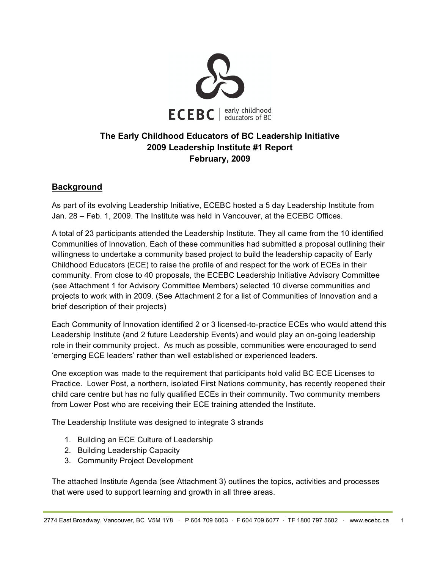

# **The Early Childhood Educators of BC Leadership Initiative 2009 Leadership Institute #1 Report February, 2009**

# **Background**

As part of its evolving Leadership Initiative, ECEBC hosted a 5 day Leadership Institute from Jan. 28 – Feb. 1, 2009. The Institute was held in Vancouver, at the ECEBC Offices.

A total of 23 participants attended the Leadership Institute. They all came from the 10 identified Communities of Innovation. Each of these communities had submitted a proposal outlining their willingness to undertake a community based project to build the leadership capacity of Early Childhood Educators (ECE) to raise the profile of and respect for the work of ECEs in their community. From close to 40 proposals, the ECEBC Leadership Initiative Advisory Committee (see Attachment 1 for Advisory Committee Members) selected 10 diverse communities and projects to work with in 2009. (See Attachment 2 for a list of Communities of Innovation and a brief description of their projects)

Each Community of Innovation identified 2 or 3 licensed-to-practice ECEs who would attend this Leadership Institute (and 2 future Leadership Events) and would play an on-going leadership role in their community project. As much as possible, communities were encouraged to send 'emerging ECE leaders' rather than well established or experienced leaders.

One exception was made to the requirement that participants hold valid BC ECE Licenses to Practice. Lower Post, a northern, isolated First Nations community, has recently reopened their child care centre but has no fully qualified ECEs in their community. Two community members from Lower Post who are receiving their ECE training attended the Institute.

The Leadership Institute was designed to integrate 3 strands

- 1. Building an ECE Culture of Leadership
- 2. Building Leadership Capacity
- 3. Community Project Development

The attached Institute Agenda (see Attachment 3) outlines the topics, activities and processes that were used to support learning and growth in all three areas.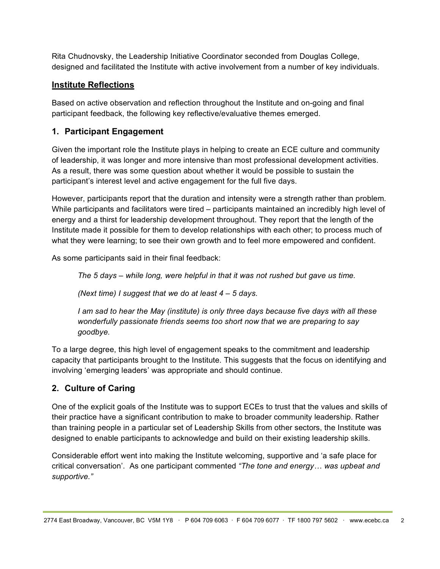Rita Chudnovsky, the Leadership Initiative Coordinator seconded from Douglas College, designed and facilitated the Institute with active involvement from a number of key individuals.

### **Institute Reflections**

Based on active observation and reflection throughout the Institute and on-going and final participant feedback, the following key reflective/evaluative themes emerged.

### **1. Participant Engagement**

Given the important role the Institute plays in helping to create an ECE culture and community of leadership, it was longer and more intensive than most professional development activities. As a result, there was some question about whether it would be possible to sustain the participant's interest level and active engagement for the full five days.

However, participants report that the duration and intensity were a strength rather than problem. While participants and facilitators were tired – participants maintained an incredibly high level of energy and a thirst for leadership development throughout. They report that the length of the Institute made it possible for them to develop relationships with each other; to process much of what they were learning; to see their own growth and to feel more empowered and confident.

As some participants said in their final feedback:

*The 5 days – while long, were helpful in that it was not rushed but gave us time.*

*(Next time) I suggest that we do at least 4 – 5 days.*

*I am sad to hear the May (institute) is only three days because five days with all these wonderfully passionate friends seems too short now that we are preparing to say goodbye.*

To a large degree, this high level of engagement speaks to the commitment and leadership capacity that participants brought to the Institute. This suggests that the focus on identifying and involving 'emerging leaders' was appropriate and should continue.

## **2. Culture of Caring**

One of the explicit goals of the Institute was to support ECEs to trust that the values and skills of their practice have a significant contribution to make to broader community leadership. Rather than training people in a particular set of Leadership Skills from other sectors, the Institute was designed to enable participants to acknowledge and build on their existing leadership skills.

Considerable effort went into making the Institute welcoming, supportive and 'a safe place for critical conversation'. As one participant commented *"The tone and energy… was upbeat and supportive."*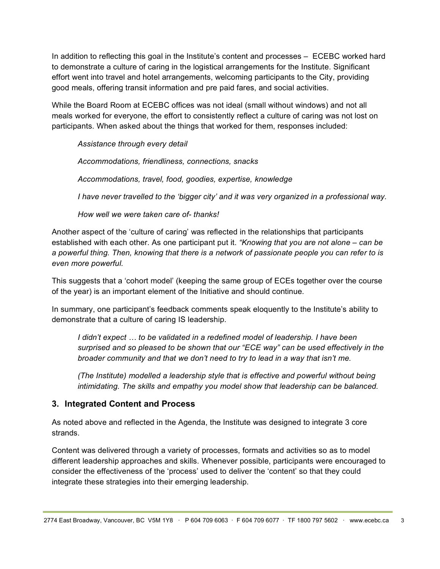In addition to reflecting this goal in the Institute's content and processes – ECEBC worked hard to demonstrate a culture of caring in the logistical arrangements for the Institute. Significant effort went into travel and hotel arrangements, welcoming participants to the City, providing good meals, offering transit information and pre paid fares, and social activities.

While the Board Room at ECEBC offices was not ideal (small without windows) and not all meals worked for everyone, the effort to consistently reflect a culture of caring was not lost on participants. When asked about the things that worked for them, responses included:

*Assistance through every detail*

*Accommodations, friendliness, connections, snacks*

*Accommodations, travel, food, goodies, expertise, knowledge*

*I have never travelled to the 'bigger city' and it was very organized in a professional way.*

*How well we were taken care of- thanks!*

Another aspect of the 'culture of caring' was reflected in the relationships that participants established with each other. As one participant put it. *"Knowing that you are not alone – can be a powerful thing. Then, knowing that there is a network of passionate people you can refer to is even more powerful.*

This suggests that a 'cohort model' (keeping the same group of ECEs together over the course of the year) is an important element of the Initiative and should continue.

In summary, one participant's feedback comments speak eloquently to the Institute's ability to demonstrate that a culture of caring IS leadership.

*I didn't expect … to be validated in a redefined model of leadership. I have been surprised and so pleased to be shown that our "ECE way" can be used effectively in the broader community and that we don't need to try to lead in a way that isn't me.*

*(The Institute) modelled a leadership style that is effective and powerful without being intimidating. The skills and empathy you model show that leadership can be balanced.*

#### **3. Integrated Content and Process**

As noted above and reflected in the Agenda, the Institute was designed to integrate 3 core strands.

Content was delivered through a variety of processes, formats and activities so as to model different leadership approaches and skills. Whenever possible, participants were encouraged to consider the effectiveness of the 'process' used to deliver the 'content' so that they could integrate these strategies into their emerging leadership.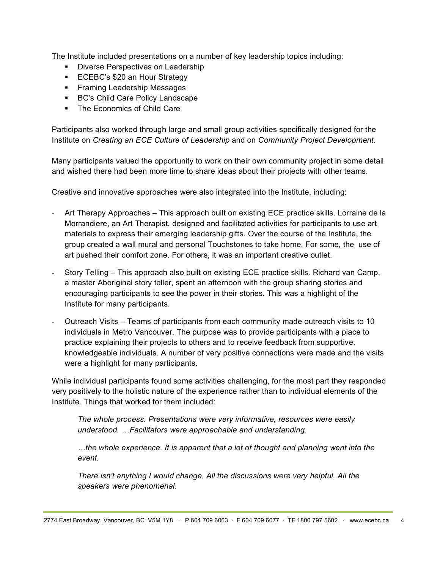The Institute included presentations on a number of key leadership topics including:

- **Diverse Perspectives on Leadership**
- **ECEBC's \$20 an Hour Strategy**
- **Framing Leadership Messages**
- BC's Child Care Policy Landscape
- **The Economics of Child Care**

Participants also worked through large and small group activities specifically designed for the Institute on *Creating an ECE Culture of Leadership* and on *Community Project Development*.

Many participants valued the opportunity to work on their own community project in some detail and wished there had been more time to share ideas about their projects with other teams.

Creative and innovative approaches were also integrated into the Institute, including:

- Art Therapy Approaches This approach built on existing ECE practice skills. Lorraine de la Morrandiere, an Art Therapist, designed and facilitated activities for participants to use art materials to express their emerging leadership gifts. Over the course of the Institute, the group created a wall mural and personal Touchstones to take home. For some, the use of art pushed their comfort zone. For others, it was an important creative outlet.
- Story Telling This approach also built on existing ECE practice skills. Richard van Camp, a master Aboriginal story teller, spent an afternoon with the group sharing stories and encouraging participants to see the power in their stories. This was a highlight of the Institute for many participants.
- Outreach Visits Teams of participants from each community made outreach visits to 10 individuals in Metro Vancouver. The purpose was to provide participants with a place to practice explaining their projects to others and to receive feedback from supportive, knowledgeable individuals. A number of very positive connections were made and the visits were a highlight for many participants.

While individual participants found some activities challenging, for the most part they responded very positively to the holistic nature of the experience rather than to individual elements of the Institute. Things that worked for them included:

*The whole process. Presentations were very informative, resources were easily understood. …Facilitators were approachable and understanding.*

*…the whole experience. It is apparent that a lot of thought and planning went into the event.*

*There isn't anything I would change. All the discussions were very helpful, All the speakers were phenomenal.*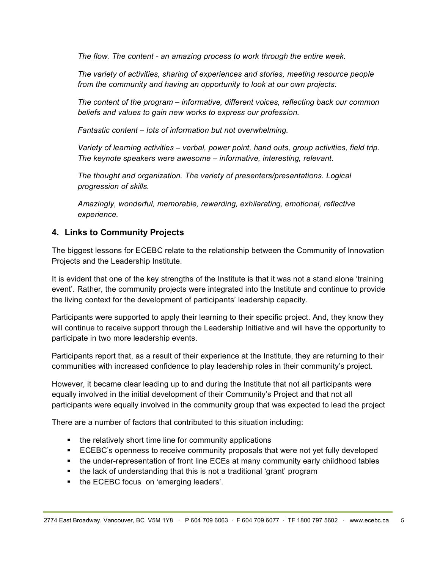*The flow. The content - an amazing process to work through the entire week.*

*The variety of activities, sharing of experiences and stories, meeting resource people from the community and having an opportunity to look at our own projects.*

*The content of the program – informative, different voices, reflecting back our common beliefs and values to gain new works to express our profession.*

*Fantastic content – lots of information but not overwhelming.*

*Variety of learning activities – verbal, power point, hand outs, group activities, field trip. The keynote speakers were awesome – informative, interesting, relevant.*

*The thought and organization. The variety of presenters/presentations. Logical progression of skills.*

*Amazingly, wonderful, memorable, rewarding, exhilarating, emotional, reflective experience.*

### **4. Links to Community Projects**

The biggest lessons for ECEBC relate to the relationship between the Community of Innovation Projects and the Leadership Institute.

It is evident that one of the key strengths of the Institute is that it was not a stand alone 'training event'. Rather, the community projects were integrated into the Institute and continue to provide the living context for the development of participants' leadership capacity.

Participants were supported to apply their learning to their specific project. And, they know they will continue to receive support through the Leadership Initiative and will have the opportunity to participate in two more leadership events.

Participants report that, as a result of their experience at the Institute, they are returning to their communities with increased confidence to play leadership roles in their community's project.

However, it became clear leading up to and during the Institute that not all participants were equally involved in the initial development of their Community's Project and that not all participants were equally involved in the community group that was expected to lead the project

There are a number of factors that contributed to this situation including:

- the relatively short time line for community applications
- **ECEBC's openness to receive community proposals that were not yet fully developed**
- the under-representation of front line ECEs at many community early childhood tables
- the lack of understanding that this is not a traditional 'grant' program
- the ECEBC focus on 'emerging leaders'.